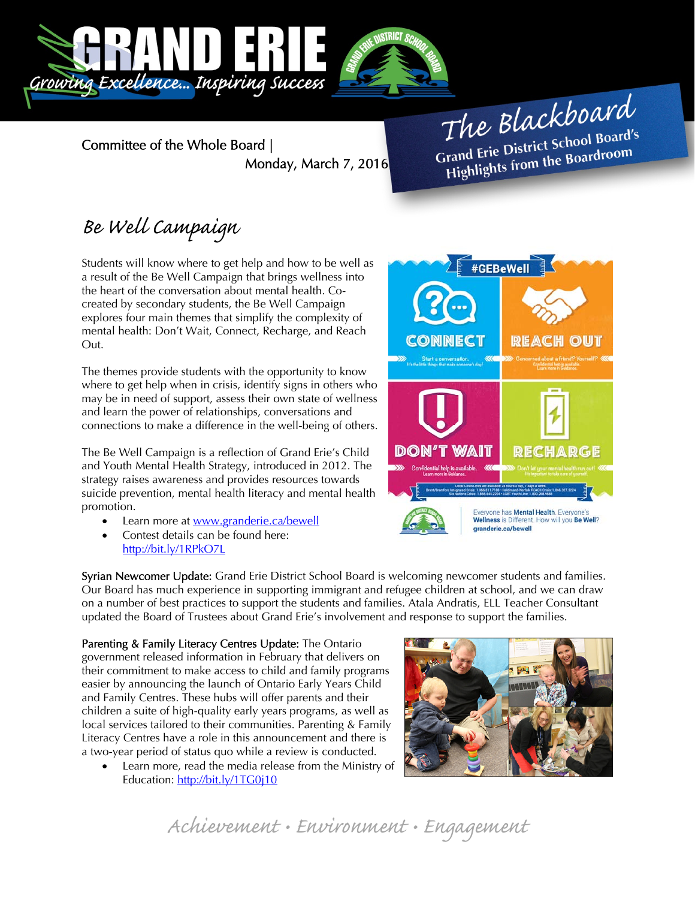

Committee of the Whole Board | Monday, March 7, 2016

The Blackboard The Burnor<br>Grand Erie District School Board's<br>Little from the Boardroom rand Erie District School Board<br>Highlights from the Boardroom

## Be Well Campaign

Students will know where to get help and how to be well as a result of the Be Well Campaign that brings wellness into the heart of the conversation about mental health. Cocreated by secondary students, the Be Well Campaign explores four main themes that simplify the complexity of mental health: Don't Wait, Connect, Recharge, and Reach Out.

The themes provide students with the opportunity to know where to get help when in crisis, identify signs in others who may be in need of support, assess their own state of wellness and learn the power of relationships, conversations and connections to make a difference in the well-being of others.

The Be Well Campaign is a reflection of Grand Erie's Child and Youth Mental Health Strategy, introduced in 2012. The strategy raises awareness and provides resources towards suicide prevention, mental health literacy and mental health promotion.

- Learn more at www.granderie.ca/bewell
- Contest details can be found here: http://bit.ly/1RPkO7L

Syrian Newcomer Update: Grand Erie District School Board is welcoming newcomer students and families. Our Board has much experience in supporting immigrant and refugee children at school, and we can draw on a number of best practices to support the students and families. Atala Andratis, ELL Teacher Consultant updated the Board of Trustees about Grand Erie's involvement and response to support the families.

Parenting & Family Literacy Centres Update: The Ontario government released information in February that delivers on their commitment to make access to child and family programs easier by announcing the launch of Ontario Early Years Child and Family Centres. These hubs will offer parents and their children a suite of high-quality early years programs, as well as local services tailored to their communities. Parenting & Family Literacy Centres have a role in this announcement and there is a two-year period of status quo while a review is conducted.

 Learn more, read the media release from the Ministry of Education: http://bit.ly/1TG0j10





granderie.ca/bewell

Achievement • Environment • Engagement